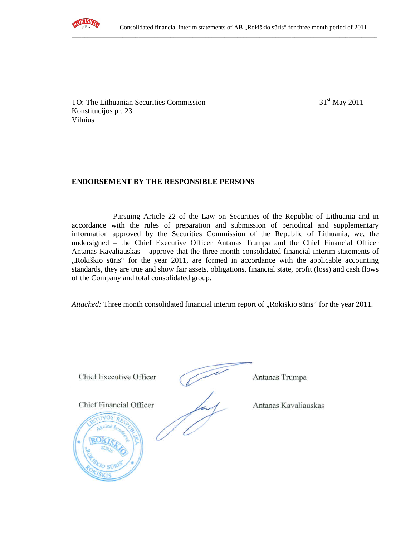

TO: The Lithuanian Securities Commission 31<sup>st</sup> May 2011 Konstitucijos pr. 23 Vilnius

# **ENDORSEMENT BY THE RESPONSIBLE PERSONS**

Pursuing Article 22 of the Law on Securities of the Republic of Lithuania and in accordance with the rules of preparation and submission of periodical and supplementary information approved by the Securities Commission of the Republic of Lithuania, we, the undersigned – the Chief Executive Officer Antanas Trumpa and the Chief Financial Officer Antanas Kavaliauskas – approve that the three month consolidated financial interim statements of "Rokiškio sūris" for the year 2011, are formed in accordance with the applicable accounting standards, they are true and show fair assets, obligations, financial state, profit (loss) and cash flows of the Company and total consolidated group.

*Attached:* Three month consolidated financial interim report of "Rokiškio sūris" for the year 2011.

Chief Executive Officer Antanas Trumpa **Chief Executive Officer** Antanas Trumpa Chief Financial Officer Antanas Kavaliauskas Chief Financial Officer Antanas Kavaliauskas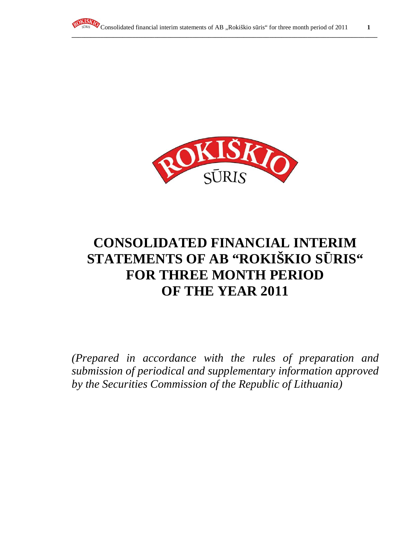



# **CONSOLIDATED FINANCIAL INTERIM STATEMENTS OF AB "ROKIŠKIO S**Ū**RIS" FOR THREE MONTH PERIOD OF THE YEAR 2011**

*(Prepared in accordance with the rules of preparation and submission of periodical and supplementary information approved by the Securities Commission of the Republic of Lithuania)*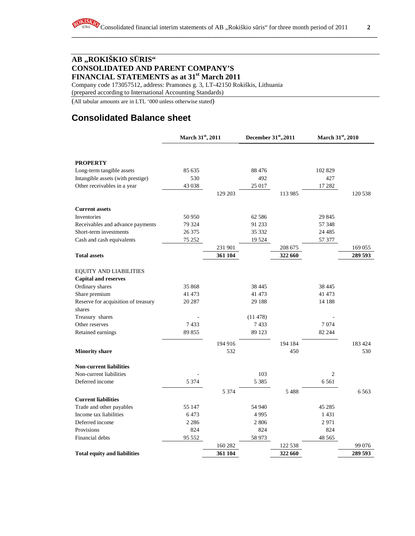# **AB "ROKIŠKIO S**Ū**RIS" CONSOLIDATED AND PARENT COMPANY'S FINANCIAL STATEMENTS as at 31st March 2011**

Company code 173057512, address: Pramonės g. 3, LT-42150 Rokiškis, Lithuania

(prepared according to International Accounting Standards)

(All tabular amounts are in LTL '000 unless otherwise stated)

# **Consolidated Balance sheet**

RO

|                                     | March 31st, 2011 |         | December 31st,.2011 |         | March 31st, 2010 |         |
|-------------------------------------|------------------|---------|---------------------|---------|------------------|---------|
|                                     |                  |         |                     |         |                  |         |
| <b>PROPERTY</b>                     |                  |         |                     |         |                  |         |
| Long-term tangible assets           | 85 635           |         | 88 4 7 6            |         | 102 829          |         |
| Intangible assets (with prestige)   | 530              |         | 492                 |         | 427              |         |
| Other receivables in a year         | 43 038           |         | 25 017              |         | 17 282           |         |
|                                     |                  | 129 203 |                     | 113 985 |                  | 120 538 |
| <b>Current assets</b>               |                  |         |                     |         |                  |         |
| Inventories                         | 50 950           |         | 62 5 8 6            |         | 29 845           |         |
| Receivables and advance payments    | 79 324           |         | 91 233              |         | 57 348           |         |
| Short-term investments              | 26 375           |         | 35 332              |         | 24 4 8 5         |         |
| Cash and cash equivalents           | 75 252           |         | 19524               |         | 57 377           |         |
|                                     |                  | 231 901 |                     | 208 675 |                  | 169 055 |
| <b>Total assets</b>                 |                  | 361 104 |                     | 322 660 |                  | 289 593 |
| <b>EQUITY AND LIABILITIES</b>       |                  |         |                     |         |                  |         |
| <b>Capital and reserves</b>         |                  |         |                     |         |                  |         |
| Ordinary shares                     | 35 868           |         | 38 4 45             |         | 38 4 45          |         |
| Share premium                       | 41 473           |         | 41 473              |         | 41 473           |         |
| Reserve for acquisition of treasury | 20 287           |         | 29 188              |         | 14 188           |         |
| shares                              |                  |         |                     |         |                  |         |
| Treasury shares                     |                  |         | (11478)             |         |                  |         |
| Other reserves                      | 7433             |         | 7433                |         | 7074             |         |
| Retained earnings                   | 89 855           |         | 89 1 23             |         | 82 244           |         |
|                                     |                  | 194 916 |                     | 194 184 |                  | 183 424 |
| <b>Minority share</b>               |                  | 532     |                     | 450     |                  | 530     |
| <b>Non-current liabilities</b>      |                  |         |                     |         |                  |         |
| Non-current liabilities             |                  |         | 103                 |         | $\overline{c}$   |         |
| Deferred income                     | 5 3 7 4          |         | 5 3 8 5             |         | 6 5 6 1          |         |
|                                     |                  | 5 3 7 4 |                     | 5488    |                  | 6563    |
| <b>Current liabilities</b>          |                  |         |                     |         |                  |         |
| Trade and other payables            | 55 147           |         | 54 940              |         | 45 285           |         |
| Income tax liabilities              | 6473             |         | 4995                |         | 1 4 3 1          |         |
| Deferred income                     | 2 2 8 6          |         | 2806                |         | 2971             |         |
| Provisions                          | 824              |         | 824                 |         | 824              |         |
| Financial debts                     | 95 552           |         | 58 973              |         | 48 5 65          |         |
|                                     |                  | 160 282 |                     | 122 538 |                  | 99 076  |
| <b>Total equity and liabilities</b> |                  | 361 104 |                     | 322 660 |                  | 289 593 |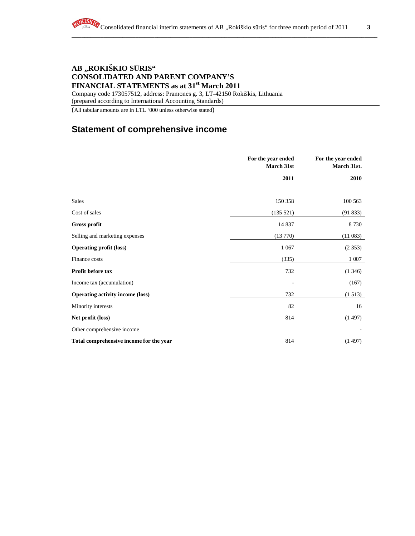**\_\_\_\_\_\_\_\_\_\_\_\_\_\_\_\_\_\_\_\_\_\_\_\_\_\_\_\_\_\_\_\_\_\_\_\_\_\_\_\_\_\_\_\_\_\_\_\_\_\_\_\_\_\_\_\_\_\_\_\_\_\_\_\_\_\_\_\_\_\_\_\_\_\_\_\_\_\_\_\_\_\_\_\_\_\_\_\_\_\_\_\_\_\_\_\_**

# **AB "ROKIŠKIO S**Ū**RIS" CONSOLIDATED AND PARENT COMPANY'S FINANCIAL STATEMENTS as at 31st March 2011**

Company code 173057512, address: Pramonės g. 3, LT-42150 Rokiškis, Lithuania (prepared according to International Accounting Standards)

(All tabular amounts are in LTL '000 unless otherwise stated)

# **Statement of comprehensive income**

|                                         | For the year ended<br>March 31st | For the year ended<br>March 31st. |
|-----------------------------------------|----------------------------------|-----------------------------------|
|                                         | 2011                             | 2010                              |
|                                         |                                  |                                   |
| Sales                                   | 150 358                          | 100 563                           |
| Cost of sales                           | (135 521)                        | (91833)                           |
| <b>Gross profit</b>                     | 14 8 37                          | 8730                              |
| Selling and marketing expenses          | (13770)                          | (11083)                           |
| <b>Operating profit (loss)</b>          | 1 0 6 7                          | (2353)                            |
| Finance costs                           | (335)                            | 1 0 0 7                           |
| Profit before tax                       | 732                              | (1, 346)                          |
| Income tax (accumulation)               |                                  | (167)                             |
| <b>Operating activity income (loss)</b> | 732                              | (1513)                            |
| Minority interests                      | 82                               | 16                                |
| Net profit (loss)                       | 814                              | (1497)                            |
| Other comprehensive income              |                                  |                                   |
| Total comprehensive income for the year | 814                              | (1497)                            |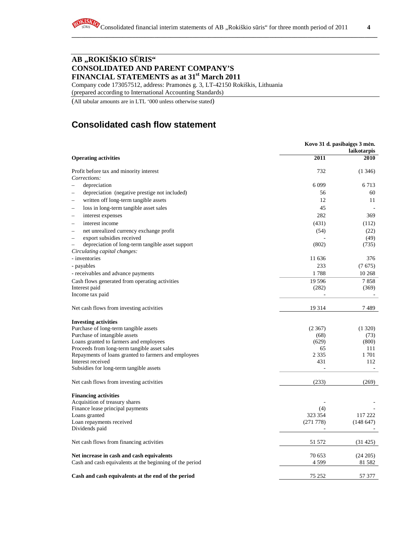# **AB "ROKIŠKIO S**Ū**RIS" CONSOLIDATED AND PARENT COMPANY'S FINANCIAL STATEMENTS as at 31st March 2011**

Company code 173057512, address: Pramonės g. 3, LT-42150 Rokiškis, Lithuania

(prepared according to International Accounting Standards)

(All tabular amounts are in LTL '000 unless otherwise stated)

# **Consolidated cash flow statement**

|                                                                              |          | Kovo 31 d. pasibaigęs 3 mėn.<br>laikotarpis |
|------------------------------------------------------------------------------|----------|---------------------------------------------|
| <b>Operating activities</b>                                                  | 2011     | 2010                                        |
| Profit before tax and minority interest                                      | 732      | (1346)                                      |
| Corrections:                                                                 |          |                                             |
| depreciation                                                                 | 6099     | 6 7 1 3                                     |
| depreciation (negative prestige not included)<br>-                           | 56       | 60                                          |
| written off long-term tangible assets                                        | 12       | 11                                          |
| loss in long-term tangible asset sales<br>$\overline{\phantom{0}}$           | 45       |                                             |
| interest expenses                                                            | 282      | 369                                         |
| interest income<br>L.                                                        | (431)    | (112)                                       |
| net unrealized currency exchange profit<br>-                                 | (54)     | (22)                                        |
| export subsidies received<br>÷                                               |          | (49)                                        |
| depreciation of long-term tangible asset support<br>$\overline{\phantom{0}}$ | (802)    | (735)                                       |
| Circulating capital changes:                                                 |          |                                             |
| - inventories                                                                | 11 636   | 376                                         |
| - payables                                                                   | 233      | (7675)                                      |
| - receivables and advance payments                                           | 1788     | 10 268                                      |
| Cash flows generated from operating activities                               | 19 5 9 6 | 7858                                        |
| Interest paid                                                                | (282)    | (369)                                       |
| Income tax paid                                                              |          |                                             |
| Net cash flows from investing activities                                     | 19 3 14  | 7 489                                       |
| <b>Investing activities</b>                                                  |          |                                             |
| Purchase of long-term tangible assets                                        | (2367)   | (1320)                                      |
| Purchase of intangible assets                                                | (68)     | (73)                                        |
| Loans granted to farmers and employees                                       | (629)    | (800)                                       |
| Proceeds from long-term tangible asset sales                                 | 65       | 111                                         |
| Repayments of loans granted to farmers and employees                         | 2 3 3 5  | 1 701                                       |
| Interest received                                                            | 431      | 112                                         |
| Subsidies for long-term tangible assets                                      |          |                                             |
| Net cash flows from investing activities                                     | (233)    | (269)                                       |
| <b>Financing activities</b>                                                  |          |                                             |
| Acquisition of treasury shares                                               |          |                                             |
| Finance lease principal payments                                             | (4)      |                                             |
| Loans granted                                                                | 323 354  | 117 222                                     |
| Loan repayments received                                                     | (271778) | (148647)                                    |
| Dividends paid                                                               |          |                                             |
| Net cash flows from financing activities                                     | 51 572   | (31425)                                     |
| Net increase in cash and cash equivalents                                    | 70 653   | (24 205)                                    |
| Cash and cash equivalents at the beginning of the period                     | 4 5 9 9  | 81 5 82                                     |
| Cash and cash equivalents at the end of the period                           | 75 252   | 57 377                                      |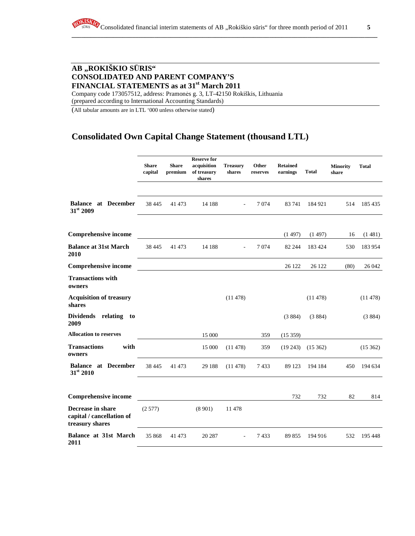**\_\_\_\_\_\_\_\_\_\_\_\_\_\_\_\_\_\_\_\_\_\_\_\_\_\_\_\_\_\_\_\_\_\_\_\_\_\_\_\_\_\_\_\_\_\_\_\_\_\_\_\_\_\_\_\_\_\_\_\_\_\_\_\_\_\_\_\_\_\_\_\_\_\_\_\_\_\_\_\_\_\_\_\_\_\_\_\_\_\_\_\_\_\_\_\_**

# **AB "ROKIŠKIO S**Ū**RIS" CONSOLIDATED AND PARENT COMPANY'S FINANCIAL STATEMENTS as at 31st March 2011**

Company code 173057512, address: Pramonės g. 3, LT-42150 Rokiškis, Lithuania (prepared according to International Accounting Standards)

(All tabular amounts are in LTL '000 unless otherwise stated)

# **Consolidated Own Capital Change Statement (thousand LTL)**

|                                                                   | <b>Share</b><br>capital | <b>Share</b><br>premium | <b>Reserve for</b><br>acquisition<br>of treasury<br>shares | <b>Treasury</b><br>shares | Other<br>reserves | <b>Retained</b><br>earnings | <b>Total</b> | <b>Minority</b><br>share | <b>Total</b> |
|-------------------------------------------------------------------|-------------------------|-------------------------|------------------------------------------------------------|---------------------------|-------------------|-----------------------------|--------------|--------------------------|--------------|
| <b>Balance at December</b><br>31st 2009                           | 38 4 45                 | 41 473                  | 14 188                                                     |                           | 7074              | 83 741                      | 184 921      | 514                      | 185435       |
| <b>Comprehensive income</b>                                       |                         |                         |                                                            |                           |                   | (1497)                      | (1497)       | 16                       | (1481)       |
| <b>Balance at 31st March</b><br>2010                              | 38 4 45                 | 41 473                  | 14 188                                                     | $\overline{a}$            | 7 0 7 4           | 82 244                      | 183 424      | 530                      | 183 954      |
| <b>Comprehensive income</b>                                       |                         |                         |                                                            |                           |                   | 26 122                      | 26 122       | (80)                     | 26 042       |
| <b>Transactions with</b><br>owners                                |                         |                         |                                                            |                           |                   |                             |              |                          |              |
| <b>Acquisition of treasury</b><br>shares                          |                         |                         |                                                            | (11478)                   |                   |                             | (11478)      |                          | (11478)      |
| Dividends relating<br>to<br>2009                                  |                         |                         |                                                            |                           |                   | (3884)                      | (3884)       |                          | (3884)       |
| <b>Allocation to reserves</b>                                     |                         |                         | 15 000                                                     |                           | 359               | (15359)                     |              |                          |              |
| <b>Transactions</b><br>with<br>owners                             |                         |                         | 15 000                                                     | (11478)                   | 359               | (19243)                     | (15362)      |                          | (15362)      |
| <b>Balance at December</b><br>31st 2010                           | 38 4 45                 | 41 473                  | 29 188                                                     | (11478)                   | 7433              | 89 123                      | 194 184      | 450                      | 194 634      |
| <b>Comprehensive income</b>                                       |                         |                         |                                                            |                           |                   | 732                         | 732          | 82                       | 814          |
| Decrease in share<br>capital / cancellation of<br>treasury shares | (2577)                  |                         | (8901)                                                     | 11 478                    |                   |                             |              |                          |              |
| <b>Balance at 31st March</b><br>2011                              | 35 868                  | 41 473                  | 20 287                                                     | $\overline{\phantom{a}}$  | 7433              | 89 855                      | 194 916      | 532                      | 195 448      |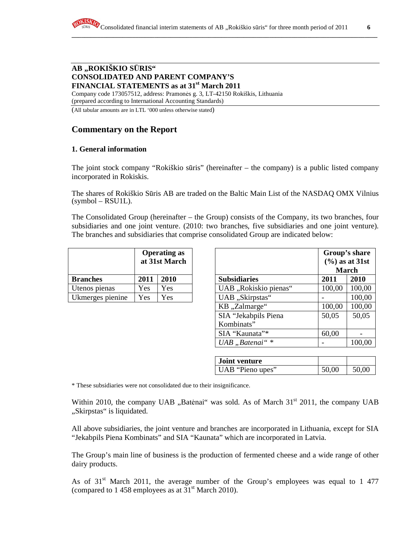#### **AB "ROKIŠKIO S**Ū**RIS" CONSOLIDATED AND PARENT COMPANY'S FINANCIAL STATEMENTS as at 31st March 2011**

Company code 173057512, address: Pramonės g. 3, LT-42150 Rokiškis, Lithuania (prepared according to International Accounting Standards)

(All tabular amounts are in LTL '000 unless otherwise stated)

# **Commentary on the Report**

## **1. General information**

The joint stock company "Rokiškio sūris" (hereinafter – the company) is a public listed company incorporated in Rokiskis.

The shares of Rokiškio Sūris AB are traded on the Baltic Main List of the NASDAQ OMX Vilnius  $(symbol - RSU1L)$ .

The Consolidated Group (hereinafter – the Group) consists of the Company, its two branches, four subsidiaries and one joint venture. (2010: two branches, five subsidiaries and one joint venture). The branches and subsidiaries that comprise consolidated Group are indicated below:

|                  | <b>Operating as</b><br>at 31st March |      |  |
|------------------|--------------------------------------|------|--|
| <b>Branches</b>  | 2011                                 | 2010 |  |
| Utenos pienas    | Yes                                  | Yes  |  |
| Ukmerges pienine | Yes                                  | Yes  |  |

|                  |            | <b>Operating as</b><br>at 31st March |                       |        | Group's share<br>$(\% )$ as at 31st<br><b>March</b> |
|------------------|------------|--------------------------------------|-----------------------|--------|-----------------------------------------------------|
| <b>Branches</b>  | 2011       | 2010                                 | <b>Subsidiaries</b>   | 2011   | 2010                                                |
| Utenos pienas    | Yes        | Yes                                  | UAB "Rokiskio pienas" | 100,00 | 100,00                                              |
| Ukmerges pienine | <b>Yes</b> | Yes                                  | UAB "Skirpstas"       |        | 100,00                                              |
|                  |            |                                      | KB "Zalmarge"         | 100,00 | 100,00                                              |
|                  |            |                                      | SIA "Jekabpils Piena  | 50,05  | 50,05                                               |
|                  |            |                                      | Kombinats"            |        |                                                     |
|                  |            |                                      | SIA "Kaunata"*        | 60,00  |                                                     |
|                  |            |                                      | UAB "Batenai" *       |        | 100,00                                              |

| Joint venture    |       |       |
|------------------|-------|-------|
| UAB "Pieno upes" | 50,00 | 50,00 |

\* These subsidiaries were not consolidated due to their insignificance.

Within 2010, the company UAB  $\mu$ Batėnai" was sold. As of March 31<sup>st</sup> 2011, the company UAB "Skirpstas" is liquidated.

All above subsidiaries, the joint venture and branches are incorporated in Lithuania, except for SIA "Jekabpils Piena Kombinats" and SIA "Kaunata" which are incorporated in Latvia.

The Group's main line of business is the production of fermented cheese and a wide range of other dairy products.

As of  $31<sup>st</sup>$  March 2011, the average number of the Group's employees was equal to 1 477 (compared to 1 458 employees as at  $31<sup>st</sup>$  March 2010).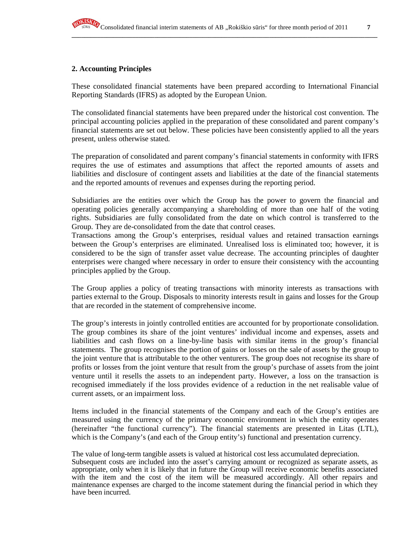## **2. Accounting Principles**

These consolidated financial statements have been prepared according to International Financial Reporting Standards (IFRS) as adopted by the European Union.

The consolidated financial statements have been prepared under the historical cost convention. The principal accounting policies applied in the preparation of these consolidated and parent company's financial statements are set out below. These policies have been consistently applied to all the years present, unless otherwise stated.

The preparation of consolidated and parent company's financial statements in conformity with IFRS requires the use of estimates and assumptions that affect the reported amounts of assets and liabilities and disclosure of contingent assets and liabilities at the date of the financial statements and the reported amounts of revenues and expenses during the reporting period.

Subsidiaries are the entities over which the Group has the power to govern the financial and operating policies generally accompanying a shareholding of more than one half of the voting rights. Subsidiaries are fully consolidated from the date on which control is transferred to the Group. They are de-consolidated from the date that control ceases.

Transactions among the Group's enterprises, residual values and retained transaction earnings between the Group's enterprises are eliminated. Unrealised loss is eliminated too; however, it is considered to be the sign of transfer asset value decrease. The accounting principles of daughter enterprises were changed where necessary in order to ensure their consistency with the accounting principles applied by the Group.

The Group applies a policy of treating transactions with minority interests as transactions with parties external to the Group. Disposals to minority interests result in gains and losses for the Group that are recorded in the statement of comprehensive income.

The group's interests in jointly controlled entities are accounted for by proportionate consolidation. The group combines its share of the joint ventures' individual income and expenses, assets and liabilities and cash flows on a line-by-line basis with similar items in the group's financial statements. The group recognises the portion of gains or losses on the sale of assets by the group to the joint venture that is attributable to the other venturers. The group does not recognise its share of profits or losses from the joint venture that result from the group's purchase of assets from the joint venture until it resells the assets to an independent party. However, a loss on the transaction is recognised immediately if the loss provides evidence of a reduction in the net realisable value of current assets, or an impairment loss.

Items included in the financial statements of the Company and each of the Group's entities are measured using the currency of the primary economic environment in which the entity operates (hereinafter "the functional currency"). The financial statements are presented in Litas (LTL), which is the Company's (and each of the Group entity's) functional and presentation currency.

The value of long-term tangible assets is valued at historical cost less accumulated depreciation. Subsequent costs are included into the asset's carrying amount or recognized as separate assets, as appropriate, only when it is likely that in future the Group will receive economic benefits associated with the item and the cost of the item will be measured accordingly. All other repairs and maintenance expenses are charged to the income statement during the financial period in which they have been incurred.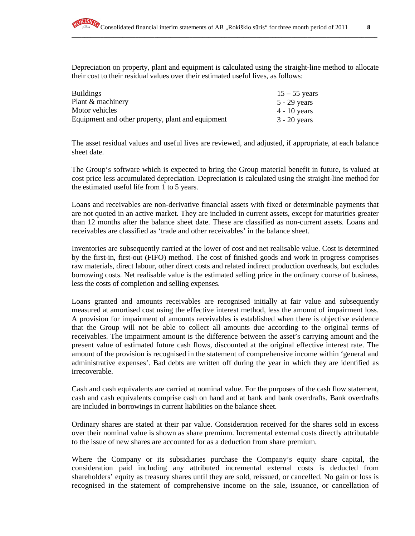**\_\_\_\_\_\_\_\_\_\_\_\_\_\_\_\_\_\_\_\_\_\_\_\_\_\_\_\_\_\_\_\_\_\_\_\_\_\_\_\_\_\_\_\_\_\_\_\_\_\_\_\_\_\_\_\_\_\_\_\_\_\_\_\_\_\_\_\_\_\_\_\_\_\_\_\_\_\_\_\_\_\_\_\_\_\_\_\_\_\_\_\_\_\_\_\_**

Depreciation on property, plant and equipment is calculated using the straight-line method to allocate their cost to their residual values over their estimated useful lives, as follows:

| <b>Buildings</b>                                  | $15 - 55$ years |
|---------------------------------------------------|-----------------|
| Plant & machinery                                 | 5 - 29 years    |
| Motor vehicles                                    | $4 - 10$ years  |
| Equipment and other property, plant and equipment | $3 - 20$ years  |

The asset residual values and useful lives are reviewed, and adjusted, if appropriate, at each balance sheet date.

The Group's software which is expected to bring the Group material benefit in future, is valued at cost price less accumulated depreciation. Depreciation is calculated using the straight-line method for the estimated useful life from 1 to 5 years.

Loans and receivables are non-derivative financial assets with fixed or determinable payments that are not quoted in an active market. They are included in current assets, except for maturities greater than 12 months after the balance sheet date. These are classified as non-current assets. Loans and receivables are classified as 'trade and other receivables' in the balance sheet.

Inventories are subsequently carried at the lower of cost and net realisable value. Cost is determined by the first-in, first-out (FIFO) method. The cost of finished goods and work in progress comprises raw materials, direct labour, other direct costs and related indirect production overheads, but excludes borrowing costs. Net realisable value is the estimated selling price in the ordinary course of business, less the costs of completion and selling expenses.

Loans granted and amounts receivables are recognised initially at fair value and subsequently measured at amortised cost using the effective interest method, less the amount of impairment loss. A provision for impairment of amounts receivables is established when there is objective evidence that the Group will not be able to collect all amounts due according to the original terms of receivables. The impairment amount is the difference between the asset's carrying amount and the present value of estimated future cash flows, discounted at the original effective interest rate. The amount of the provision is recognised in the statement of comprehensive income within 'general and administrative expenses'. Bad debts are written off during the year in which they are identified as irrecoverable.

Cash and cash equivalents are carried at nominal value. For the purposes of the cash flow statement, cash and cash equivalents comprise cash on hand and at bank and bank overdrafts. Bank overdrafts are included in borrowings in current liabilities on the balance sheet.

Ordinary shares are stated at their par value. Consideration received for the shares sold in excess over their nominal value is shown as share premium. Incremental external costs directly attributable to the issue of new shares are accounted for as a deduction from share premium.

Where the Company or its subsidiaries purchase the Company's equity share capital, the consideration paid including any attributed incremental external costs is deducted from shareholders' equity as treasury shares until they are sold, reissued, or cancelled. No gain or loss is recognised in the statement of comprehensive income on the sale, issuance, or cancellation of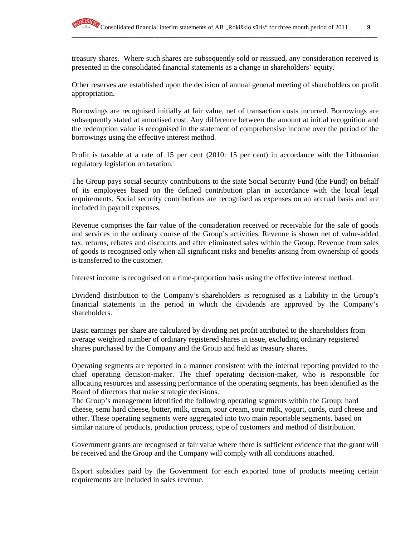treasury shares. Where such shares are subsequently sold or reissued, any consideration received is presented in the consolidated financial statements as a change in shareholders' equity.

**\_\_\_\_\_\_\_\_\_\_\_\_\_\_\_\_\_\_\_\_\_\_\_\_\_\_\_\_\_\_\_\_\_\_\_\_\_\_\_\_\_\_\_\_\_\_\_\_\_\_\_\_\_\_\_\_\_\_\_\_\_\_\_\_\_\_\_\_\_\_\_\_\_\_\_\_\_\_\_\_\_\_\_\_\_\_\_\_\_\_\_\_\_\_\_\_**

Other reserves are established upon the decision of annual general meeting of shareholders on profit appropriation.

Borrowings are recognised initially at fair value, net of transaction costs incurred. Borrowings are subsequently stated at amortised cost. Any difference between the amount at initial recognition and the redemption value is recognised in the statement of comprehensive income over the period of the borrowings using the effective interest method.

Profit is taxable at a rate of 15 per cent (2010: 15 per cent) in accordance with the Lithuanian regulatory legislation on taxation.

The Group pays social security contributions to the state Social Security Fund (the Fund) on behalf of its employees based on the defined contribution plan in accordance with the local legal requirements. Social security contributions are recognised as expenses on an accrual basis and are included in payroll expenses.

Revenue comprises the fair value of the consideration received or receivable for the sale of goods and services in the ordinary course of the Group's activities. Revenue is shown net of value-added tax, returns, rebates and discounts and after eliminated sales within the Group. Revenue from sales of goods is recognised only when all significant risks and benefits arising from ownership of goods is transferred to the customer.

Interest income is recognised on a time-proportion basis using the effective interest method.

Dividend distribution to the Company's shareholders is recognised as a liability in the Group's financial statements in the period in which the dividends are approved by the Company's shareholders.

Basic earnings per share are calculated by dividing net profit attributed to the shareholders from average weighted number of ordinary registered shares in issue, excluding ordinary registered shares purchased by the Company and the Group and held as treasury shares.

Operating segments are reported in a manner consistent with the internal reporting provided to the chief operating decision-maker. The chief operating decision-maker, who is responsible for allocating resources and assessing performance of the operating segments, has been identified as the Board of directors that make strategic decisions.

The Group's management identified the following operating segments within the Group: hard cheese, semi hard cheese, butter, milk, cream, sour cream, sour milk, yogurt, curds, curd cheese and other. These operating segments were aggregated into two main reportable segments, based on similar nature of products, production process, type of customers and method of distribution.

Government grants are recognised at fair value where there is sufficient evidence that the grant will be received and the Group and the Company will comply with all conditions attached.

Export subsidies paid by the Government for each exported tone of products meeting certain requirements are included in sales revenue.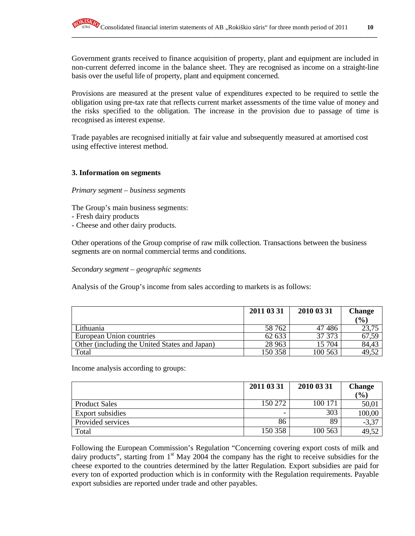Government grants received to finance acquisition of property, plant and equipment are included in non-current deferred income in the balance sheet. They are recognised as income on a straight-line basis over the useful life of property, plant and equipment concerned.

Provisions are measured at the present value of expenditures expected to be required to settle the obligation using pre-tax rate that reflects current market assessments of the time value of money and the risks specified to the obligation. The increase in the provision due to passage of time is recognised as interest expense.

Trade payables are recognised initially at fair value and subsequently measured at amortised cost using effective interest method.

#### **3. Information on segments**

#### *Primary segment – business segments*

The Group's main business segments:

- Fresh dairy products
- Cheese and other dairy products.

Other operations of the Group comprise of raw milk collection. Transactions between the business segments are on normal commercial terms and conditions.

*Secondary segment – geographic segments* 

Analysis of the Group's income from sales according to markets is as follows:

|                                               | 2011 03 31 | 2010 03 31 | <b>Change</b> |
|-----------------------------------------------|------------|------------|---------------|
|                                               |            |            | $\frac{1}{2}$ |
| Lithuania                                     | 58 762     | 47486      | 23,75         |
| European Union countries                      | 62 633     | 37 37 3    | 67,59         |
| Other (including the United States and Japan) | 28 9 63    | 15 704     | 84,43         |
| Total                                         | 150 358    | 100 563    | 49,52         |

Income analysis according to groups:

|                         | 2011 03 31 | 2010 03 31 | <b>Change</b> |
|-------------------------|------------|------------|---------------|
|                         |            |            | (%)           |
| <b>Product Sales</b>    | 150 272    | 100 171    | 50,01         |
| <b>Export subsidies</b> |            | 303        | 100,00        |
| Provided services       | 86         | 89         | $-3,37$       |
| Total                   | 150 358    | 100 563    | 49,52         |

Following the European Commission's Regulation "Concerning covering export costs of milk and dairy products", starting from  $1<sup>st</sup>$  May 2004 the company has the right to receive subsidies for the cheese exported to the countries determined by the latter Regulation. Export subsidies are paid for every ton of exported production which is in conformity with the Regulation requirements. Payable export subsidies are reported under trade and other payables.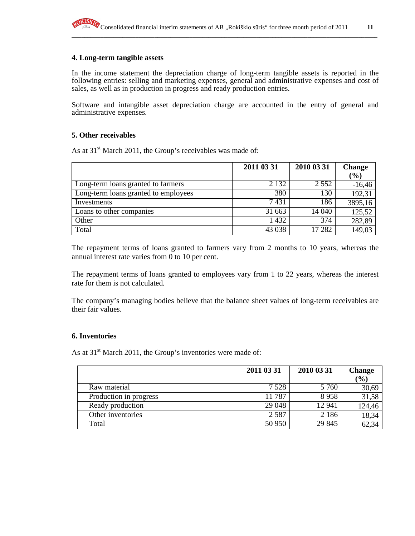#### **4. Long-term tangible assets**

In the income statement the depreciation charge of long-term tangible assets is reported in the following entries: selling and marketing expenses, general and administrative expenses and cost of sales, as well as in production in progress and ready production entries.

Software and intangible asset depreciation charge are accounted in the entry of general and administrative expenses.

#### **5. Other receivables**

As at  $31<sup>st</sup>$  March 2011, the Group's receivables was made of:

|                                      | 2011 03 31 | 2010 03 31 | <b>Change</b> |
|--------------------------------------|------------|------------|---------------|
|                                      |            |            | $(\%)$        |
| Long-term loans granted to farmers   | 2 1 3 2    | 2 5 5 2    | $-16,46$      |
| Long-term loans granted to employees | 380        | 130        | 192,31        |
| Investments                          | 7431       | 186        | 3895,16       |
| Loans to other companies             | 31 663     | 14 040     | 125,52        |
| Other                                | 1432       | 374        | 282,89        |
| Total                                | 43 038     | 17 282     | 149,03        |

The repayment terms of loans granted to farmers vary from 2 months to 10 years, whereas the annual interest rate varies from 0 to 10 per cent.

The repayment terms of loans granted to employees vary from 1 to 22 years, whereas the interest rate for them is not calculated.

The company's managing bodies believe that the balance sheet values of long-term receivables are their fair values.

#### **6. Inventories**

As at  $31<sup>st</sup>$  March 2011, the Group's inventories were made of:

|                        | 2011 03 31 | 2010 03 31 | <b>Change</b><br>$\frac{1}{2}$ |
|------------------------|------------|------------|--------------------------------|
| Raw material           | 7 5 2 8    | 5 7 6 0    | 30,69                          |
| Production in progress | 11787      | 8958       | 31,58                          |
| Ready production       | 29 048     | 12 941     | 124,46                         |
| Other inventories      | 2587       | 2 1 8 6    | 18,34                          |
| Total                  | 50 950     | 29 845     | 62,34                          |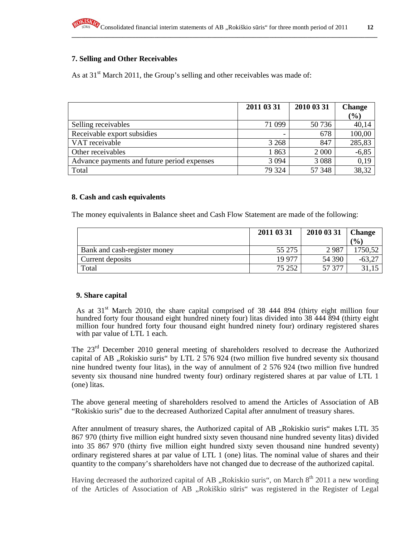## **7. Selling and Other Receivables**

As at  $31<sup>st</sup>$  March 2011, the Group's selling and other receivables was made of:

|                                             | 2011 03 31 | 2010 03 31 | <b>Change</b><br>$\mathcal{O}(0)$ |
|---------------------------------------------|------------|------------|-----------------------------------|
| Selling receivables                         | 71 099     | 50 736     | 40,14                             |
| Receivable export subsidies                 | ٠          | 678        | 100,00                            |
| VAT receivable                              | 3 2 6 8    | 847        | 285,83                            |
| Other receivables                           | 1863       | 2 0 0 0    | $-6,85$                           |
| Advance payments and future period expenses | 3 0 9 4    | 3 0 8 8    | 0,19                              |
| Total                                       | 79 324     | 57 348     | 38,32                             |

#### **8. Cash and cash equivalents**

The money equivalents in Balance sheet and Cash Flow Statement are made of the following:

|                              | 2011 03 31 | 2010 03 31 | <b>Change</b><br>$\left( \frac{6}{2} \right)$ |
|------------------------------|------------|------------|-----------------------------------------------|
| Bank and cash-register money | 55 275     | 2987       | 1750,52                                       |
| Current deposits             | 19 977     | 54 390     | $-63,2^{-}$                                   |
| Total                        | 75 252     | 57 377     |                                               |

#### **9. Share capital**

As at  $31<sup>st</sup>$  March 2010, the share capital comprised of 38 444 894 (thirty eight million four hundred forty four thousand eight hundred ninety four) litas divided into 38 444 894 (thirty eight million four hundred forty four thousand eight hundred ninety four) ordinary registered shares with par value of LTL 1 each.

The 23<sup>rd</sup> December 2010 general meeting of shareholders resolved to decrease the Authorized capital of AB "Rokiskio suris" by LTL 2 576 924 (two million five hundred seventy six thousand nine hundred twenty four litas), in the way of annulment of 2 576 924 (two million five hundred seventy six thousand nine hundred twenty four) ordinary registered shares at par value of LTL 1 (one) litas.

The above general meeting of shareholders resolved to amend the Articles of Association of AB "Rokiskio suris" due to the decreased Authorized Capital after annulment of treasury shares.

After annulment of treasury shares, the Authorized capital of AB "Rokiskio suris" makes LTL 35 867 970 (thirty five million eight hundred sixty seven thousand nine hundred seventy litas) divided into 35 867 970 (thirty five million eight hundred sixty seven thousand nine hundred seventy) ordinary registered shares at par value of LTL 1 (one) litas. The nominal value of shares and their quantity to the company's shareholders have not changed due to decrease of the authorized capital.

Having decreased the authorized capital of AB "Rokiskio suris", on March  $8<sup>th</sup>$  2011 a new wording of the Articles of Association of AB "Rokiškio sūris" was registered in the Register of Legal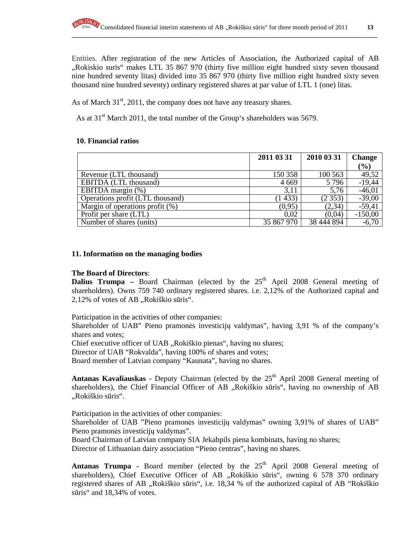Entities. After registration of the new Articles of Association, the Authorized capital of AB "Rokiskio suris" makes LTL 35 867 970 (thirty five million eight hundred sixty seven thousand nine hundred seventy litas) divided into 35 867 970 (thirty five million eight hundred sixty seven thousand nine hundred seventy) ordinary registered shares at par value of LTL 1 (one) litas.

As of March  $31<sup>st</sup>$ , 2011, the company does not have any treasury shares.

As at  $31<sup>st</sup>$  March 2011, the total number of the Group's shareholders was 5679.

# **10. Financial ratios**

|                                    | 2011 03 31 | 2010 03 31 | <b>Change</b> |
|------------------------------------|------------|------------|---------------|
|                                    |            |            | (%)           |
| Revenue (LTL thousand)             | 150 358    | 100 563    | 49,52         |
| <b>EBITDA</b> (LTL thousand)       | 4 6 6 9    | 5796       | $-19,44$      |
| EBITDA margin $(\%)$               | 3,11       | 5,76       | $-46,01$      |
| Operations profit (LTL thousand)   | (1433)     | (2353)     | $-39,00$      |
| Margin of operations profit $(\%)$ | (0, 95)    | (2, 34)    | $-59,41$      |
| Profit per share (LTL)             | 0.02       | (0.04)     | $-150,00$     |
| Number of shares (units)           | 35 867 970 | 38 444 894 | $-6,70$       |

# **11. Information on the managing bodies**

# **The Board of Directors**:

**Dalius Trumpa** – Board Chairman (elected by the  $25<sup>th</sup>$  April 2008 General meeting of shareholders). Owns 759 740 ordinary registered shares. i.e. 2,12% of the Authorized capital and 2,12% of votes of AB "Rokiškio sūris".

Participation in the activities of other companies:

Shareholder of UAB" Pieno pramonės investicijų valdymas", having 3,91 % of the company's shares and votes;

Chief executive officer of UAB "Rokiškio pienas", having no shares;

Director of UAB "Rokvalda", having 100% of shares and votes;

Board member of Latvian company "Kaunata", having no shares.

Antanas Kavaliauskas - Deputy Chairman (elected by the 25<sup>th</sup> April 2008 General meeting of shareholders), the Chief Financial Officer of AB "Rokiškio sūris", having no ownership of AB "Rokiškio sūris".

Participation in the activities of other companies:

Shareholder of UAB "Pieno pramonės investicijų valdymas" owning 3,91% of shares of UAB" Pieno pramonės investicijų valdymas".

Board Chairman of Latvian company SIA Jekabpils piena kombinats, having no shares; Director of Lithuanian dairy association "Pieno centras", having no shares.

**Antanas Trumpa -** Board member (elected by the  $25<sup>th</sup>$  April 2008 General meeting of shareholders), Chief Executive Officer of AB "Rokiškio sūris", owning 6 578 370 ordinary registered shares of AB "Rokiškio sūris", i.e. 18,34 % of the authorized capital of AB "Rokiškio sūris" and 18,34% of votes.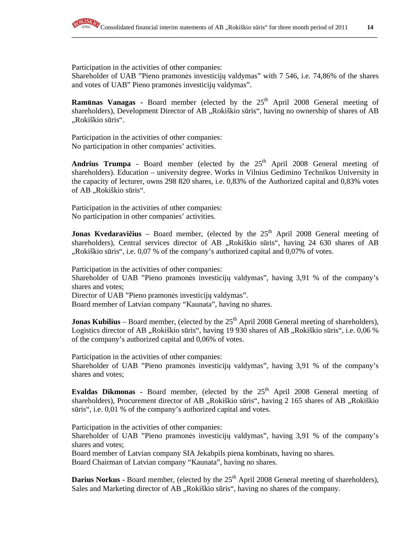

Participation in the activities of other companies:

Shareholder of UAB "Pieno pramonės investicijų valdymas" with 7 546, i.e. 74,86% of the shares and votes of UAB" Pieno pramonės investicijų valdymas".

**Ramūnas Vanagas -** Board member (elected by the 25<sup>th</sup> April 2008 General meeting of shareholders), Development Director of AB "Rokiškio sūris", having no ownership of shares of AB "Rokiškio sūris".

Participation in the activities of other companies: No participation in other companies' activities.

**Andrius Trumpa** - Board member (elected by the  $25<sup>th</sup>$  April 2008 General meeting of shareholders). Education – university degree. Works in Vilnius Gedimino Technikos University in the capacity of lecturer, owns 298 820 shares, i.e. 0,83% of the Authorized capital and 0,83% votes of AB "Rokiškio sūris".

Participation in the activities of other companies: No participation in other companies' activities.

**Jonas Kvedaravičius** – Board member, (elected by the 25<sup>th</sup> April 2008 General meeting of shareholders), Central services director of AB "Rokiškio sūris", having 24 630 shares of AB  $Rokiškio sūris", i.e. 0.07 % of the company's authorized capital and 0.07% of votes.$ 

Participation in the activities of other companies: Shareholder of UAB "Pieno pramonės investicijų valdymas", having 3,91 % of the company's shares and votes; Director of UAB "Pieno pramonės investicijų valdymas". Board member of Latvian company "Kaunata", having no shares.

**Jonas Kubilius** – Board member, (elected by the 25<sup>th</sup> April 2008 General meeting of shareholders), Logistics director of AB "Rokiškio sūris", having 19 930 shares of AB "Rokiškio sūris", i.e. 0,06 % of the company's authorized capital and 0,06% of votes.

Participation in the activities of other companies: Shareholder of UAB "Pieno pramonės investicijų valdymas", having 3,91 % of the company's shares and votes;

**Evaldas Dikmonas -** Board member, (elected by the  $25<sup>th</sup>$  April 2008 General meeting of shareholders), Procurement director of AB "Rokiškio sūris", having 2 165 shares of AB "Rokiškio sūris", i.e. 0,01 % of the company's authorized capital and votes.

Participation in the activities of other companies:

Shareholder of UAB "Pieno pramonės investicijų valdymas", having 3,91 % of the company's shares and votes;

Board member of Latvian company SIA Jekabpils piena kombinats, having no shares.

Board Chairman of Latvian company "Kaunata", having no shares.

**Darius Norkus - Board member, (elected by the 25<sup>th</sup> April 2008 General meeting of shareholders),** Sales and Marketing director of AB, Rokiškio sūris", having no shares of the company.